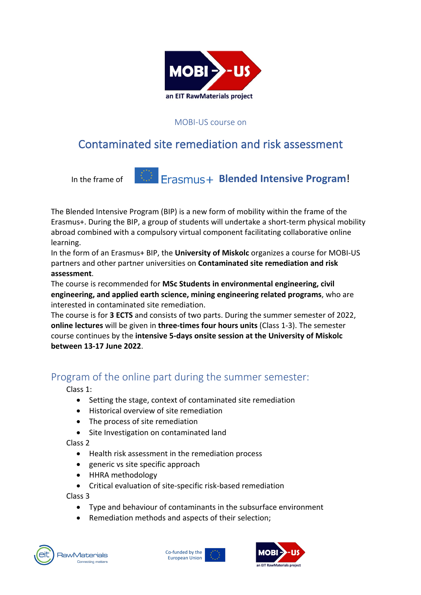

#### MOBI-US course on

# Contaminated site remediation and risk assessment



The Blended Intensive Program (BIP) is a new form of mobility within the frame of the Erasmus+. During the BIP, a group of students will undertake a short-term physical mobility abroad combined with a compulsory virtual component facilitating collaborative online learning.

In the form of an Erasmus+ BIP, the **University of Miskolc** organizes a course for MOBI-US partners and other partner universities on **Contaminated site remediation and risk assessment**.

The course is recommended for **MSc Students in environmental engineering, civil engineering, and applied earth science, mining engineering related programs**, who are interested in contaminated site remediation.

The course is for **3 ECTS** and consists of two parts. During the summer semester of 2022, **online lectures** will be given in **three-times four hours units** (Class 1-3). The semester course continues by the **intensive 5-days onsite session at the University of Miskolc between 13-17 June 2022**.

### Program of the online part during the summer semester:

Class 1:

- Setting the stage, context of contaminated site remediation
- Historical overview of site remediation
- The process of site remediation
- Site Investigation on contaminated land

Class 2

- Health risk assessment in the remediation process
- generic vs site specific approach
- HHRA methodology
- Critical evaluation of site-specific risk-based remediation

Class 3

- Type and behaviour of contaminants in the subsurface environment
- Remediation methods and aspects of their selection;